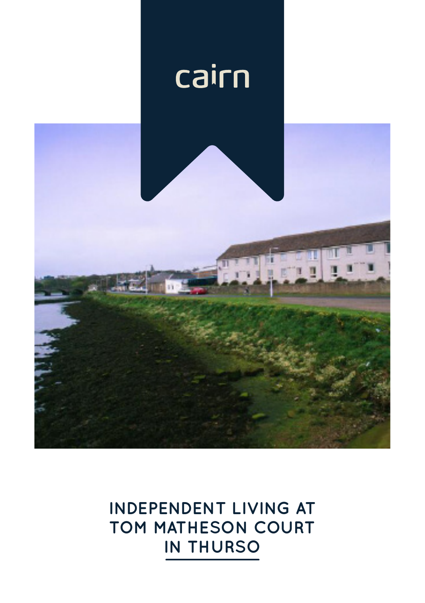

# **INDEPENDENT LIVING AT TOM MATHESON COURT IN THURSO**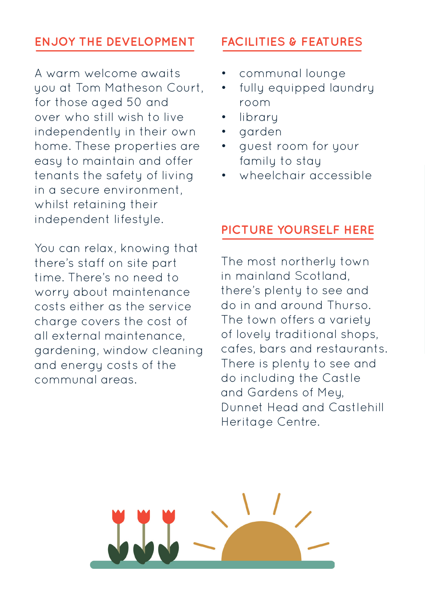# **ENJOY THE DEVELOPMENT FACILITIES & FEATURES**

A warm welcome awaits you at Tom Matheson Court, for those aged 50 and over who still wish to live independently in their own home. These properties are easy to maintain and offer tenants the safety of living in a secure environment, whilst retaining their independent lifestyle.

You can relax, knowing that there's staff on site part time. There's no need to worry about maintenance costs either as the service charge covers the cost of all external maintenance, gardening, window cleaning and energy costs of the communal areas.

- communal lounge
- fully equipped laundry room
- **library**
- garden
- guest room for your family to stay
- wheelchair accessible

# **PICTURE YOURSELF HERE**

The most northerly town in mainland Scotland, there's plenty to see and do in and around Thurso. The town offers a varietu of lovely traditional shops, cafes, bars and restaurants. There is plenty to see and do including the Castle and Gardens of Mey, Dunnet Head and Castlehill Heritage Centre.

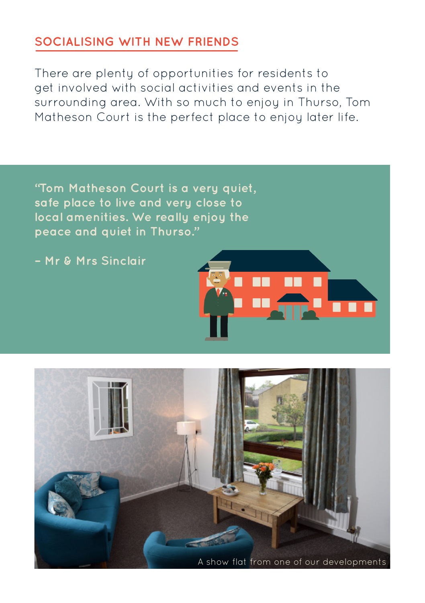### **SOCIALISING WITH NEW FRIENDS**

There are plenty of opportunities for residents to get involved with social activities and events in the surrounding area. With so much to enjoy in Thurso, Tom Matheson Court is the perfect place to enjoy later life.

**"Tom Matheson Court is a very quiet, safe place to live and very close to local amenities. We really enjoy the peace and quiet in Thurso."** 

**– Mr & Mrs Sinclair**